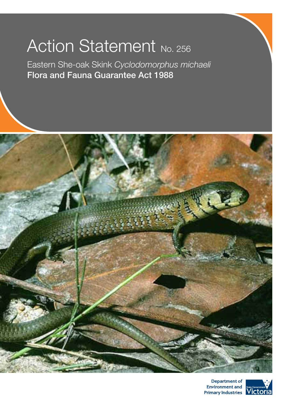# Action Statement No. 256

Eastern She-oak Skink *Cyclodomorphus michaeli* Flora and Fauna Guarantee Act 1988



Department of Environment and Primary Industries Victoria

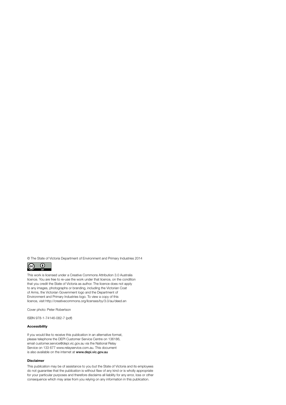© The State of Victoria Department of Environment and Primary Industries 2014



This work is licensed under a Creative Commons Attribution 3.0 Australia licence. You are free to re-use the work under that licence, on the condition that you credit the State of Victoria as author. The licence does not apply to any images, photographs or branding, including the Victorian Coat of Arms, the Victorian Government logo and the Department of Environment and Primary Industries logo. To view a copy of this licence, visit http://creativecommons.org/licenses/by/3.0/au/deed.en

Cover photo: Peter Robertson

ISBN 978-1-74146-082-7 (pdf)

#### Accessibility

If you would like to receive this publication in an alternative format, please telephone the DEPI Customer Service Centre on 136186, email customer.service@depi.vic.gov.au via the National Relay Service on 133 677 www.relayservice.com.au. This document is also available on the internet at www.depi.vic.gov.au

#### Disclaimer

This publication may be of assistance to you but the State of Victoria and its employees do not guarantee that the publication is without flaw of any kind or is wholly appropriate for your particular purposes and therefore disclaims all liability for any error, loss or other consequence which may arise from you relying on any information in this publication.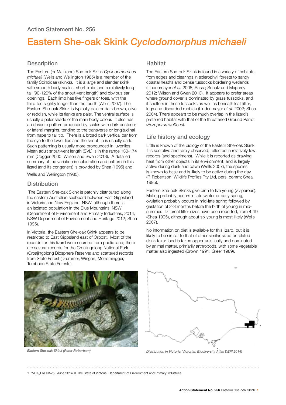# Eastern She-oak Skink *Cyclodomorphus michaeli*

### **Description**

The Eastern (or Mainland) She-oak Skink *Cyclodomorphus michaeli* (Wells and Wellington 1985) is a member of the family Scincidae (skinks). It is a large and slender skink with smooth body scales, short limbs and a relatively long tail (90-120% of the snout-vent length) and obvious ear openings. Each limb has five fingers or toes, with the third toe slightly longer than the fourth (Wells 2007). The Eastern She-oak Skink is typically pale or dark brown, olive or reddish, while its flanks are paler. The ventral surface is usually a paler shade of the main body colour. It also has an obscure pattern produced by scales with dark posterior or lateral margins, tending to the transverse or longitudinal from nape to tail tip. There is a broad dark vertical bar from the eye to the lower lips and the snout tip is usually dark. Such patterning is usually more pronounced in juveniles. Mean adult snout-vent length (SVL) is in the range 130-174 mm (Cogger 2000; Wilson and Swan 2013). A detailed summary of the variation in colouration and pattern in this lizard (and its congeners) is provided by Shea (1995) and

Wells and Wellington (1985).

#### **Distribution**

 The Eastern She-oak Skink is patchily distributed along the eastern Australian seaboard between East Gippsland in Victoria and New England, NSW, although there is an isolated population in the Blue Mountains, NSW (Department of Environment and Primary Industries, 2014; NSW Department of Environment and Heritage 2012; Shea 1995).

In Victoria, the Eastern She-oak Skink appears to be restricted to East Gippsland east of Orbost. Most of the records for this lizard were sourced from public land; there are several records for the Croajingolong National Park (Croajingolong Biosphere Reserve) and scattered records from State Forest (Drummer, Wingan, Merremingger, Tamboon State Forests).



#### **Habitat**

The Eastern She-oak Skink is found in a variety of habitats, from edges and clearings in sclerophyll forests to sandy coastal heaths and dense tussocks bordering wetlands (Lindenmayer *et al.* 2008; Sass ; Schulz and Magarey 2012; Wilson and Swan 2013). It appears to prefer areas where ground cover is dominated by grass tussocks, and it shelters in these tussocks as well as beneath leaf-litter, logs and discarded rubbish (Lindenmayer *et al.* 2002; Shea 2004). There appears to be much overlap in the lizard's preferred habitat with that of the threatened Ground Parrot (*Pezoporus wallicus*).

# Life history and ecology

Little is known of the biology of the Eastern She-oak Skink. It is secretive and rarely observed, reflected in relatively few records (and specimens). While it is reported as drawing heat from other objects in its environment, and is largely active during dusk and dawn (Wells 2007), the species is known to bask and is likely to be active during the day (P. Robertson, Wildlife Profiles Pty Ltd, pers. comm; Shea 1995).

Eastern She-oak Skinks give birth to live young (viviparous). Mating probably occurs in late winter or early spring, ovulation probably occurs in mid-late spring followed by gestation of 2-3 months before the birth of young in midsummer. Different litter sizes have been reported, from 4-19 (Shea 1995), although about six young is most likely (Wells 2007).

No information on diet is available for this lizard, but it is likely to be similar to that of other similar-sized or related skink taxa: food is taken opportunistically and dominated by animal matter, primarily arthropods, with some vegetable matter also ingested (Brown 1991; Greer 1989).



*Eastern She-oak Skink (Peter Robertson) Distribution in Victoria (Victorian Biodiversity Atlas DEPI 2014)*

1 'VBA\_FAUNA25', June 2014 © The State of Victoria, Department of Environment and Primary Industries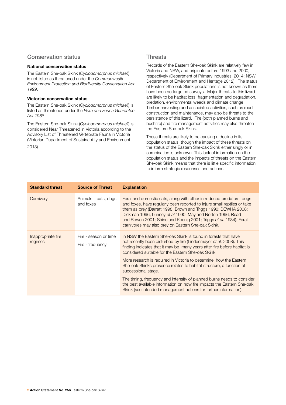# Conservation status

#### National conservation status

The Eastern She-oak Skink (*Cyclodomorphus michaeli*) is not listed as threatened under the *Commonwealth Environment Protection and Biodiversity Conservation Act 1999*.

#### Victorian conservation status

The Eastern She-oak Skink (*Cyclodomorphus michaeli*) is listed as threatened under the *Flora and Fauna Guarantee Act 1988*.

The Eastern She-oak Skink (*Cyclodomorphus michaeli*) is considered Near Threatened in Victoria according to the Advisory List of Threatened Vertebrate Fauna in Victoria (Victorian Department of Sustainability and Environment 2013).

## **Threats**

Records of the Eastern She-oak Skink are relatively few in Victoria and NSW, and originate before 1993 and 2000, respectively (Department of Primary Industries, 2014; NSW Department of Environment and Heritage 2012). The status of Eastern She-oak Skink populations is not known as there have been no targeted surveys. Major threats to this lizard are likely to be habitat loss, fragmentation and degradation, predation, environmental weeds and climate change. Timber harvesting and associated activities, such as road construction and maintenance, may also be threats to the persistence of this lizard. Fire (both planned burns and bushfire) and fire management activities may also threaten the Eastern She-oak Skink.

These threats are likely to be causing a decline in its population status, though the impact of these threats on the status of the Eastern She-oak Skink either singly or in combination is unknown. This lack of information on the population status and the impacts of threats on the Eastern She-oak Skink means that there is little specific information to inform strategic responses and actions.

| <b>Standard threat</b>        | <b>Source of Threat</b>                   | <b>Explanation</b>                                                                                                                                                                                                                                                                                                                                                                                           |
|-------------------------------|-------------------------------------------|--------------------------------------------------------------------------------------------------------------------------------------------------------------------------------------------------------------------------------------------------------------------------------------------------------------------------------------------------------------------------------------------------------------|
| Carnivory                     | Animals – cats, dogs<br>and foxes         | Feral and domestic cats, along with other introduced predators, dogs<br>and foxes, have regularly been reported to injure small reptiles or take<br>them as prey (Barratt 1998; Brown and Triggs 1990; DEWHA 2008;<br>Dickman 1996; Lunney et al. 1990; May and Norton 1996; Read<br>and Bowen 2001; Shine and Koenig 2001; Triggs et al. 1984). Feral<br>carnivores may also prey on Eastern She-oak Skink. |
| Inappropriate fire<br>regimes | Fire - season or time<br>Fire - frequency | In NSW the Eastern She-oak Skink is found in forests that have<br>not recently been disturbed by fire (Lindenmayer et al. 2008). This<br>finding indicates that it may be many years after fire before habitat is<br>considered suitable for the Eastern She-oak Skink.                                                                                                                                      |
|                               |                                           | More research is required in Victoria to determine, how the Eastern<br>She-oak Skinks presence relates to habitat structure, a function of<br>successional stage.                                                                                                                                                                                                                                            |
|                               |                                           | The timing, frequency and intensity of planned burns needs to consider<br>the best available information on how fire impacts the Eastern She-oak<br>Skink (see intended management actions for further information).                                                                                                                                                                                         |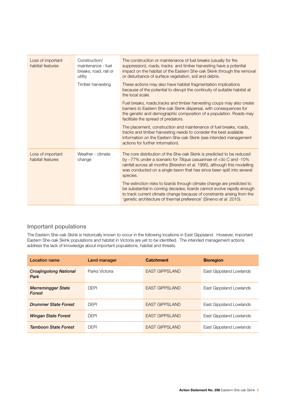| Loss of important<br>habitat features | Construction/<br>maintenance - fuel<br>breaks, road, rail or<br>utility | The construction or maintenance of fuel breaks (usually for fire<br>suppression), roads, tracks and timber harvesting have a potential<br>impact on the habitat of the Eastern She-oak Skink through the removal<br>or disturbance of surface vegetation, soil and debris.                                     |
|---------------------------------------|-------------------------------------------------------------------------|----------------------------------------------------------------------------------------------------------------------------------------------------------------------------------------------------------------------------------------------------------------------------------------------------------------|
|                                       | Timber harvesting                                                       | These actions may also have habitat fragmentation implications<br>because of the potential to disrupt the continuity of suitable habitat at<br>the local scale.                                                                                                                                                |
|                                       |                                                                         | Fuel breaks, roads, tracks and timber harvesting coups may also create<br>barriers to Eastern She-oak Skink dispersal, with consequences for<br>the genetic and demographic composition of a population. Roads may<br>facilitate the spread of predators.                                                      |
|                                       |                                                                         | The placement, construction and maintenance of fuel breaks, roads,<br>tracks and timber harvesting needs to consider the best available<br>information on the Eastern She-oak Skink (see intended management<br>actions for further information).                                                              |
| Loss of important<br>habitat features | Weather - climate<br>change                                             | The core distribution of the She-oak Skink is predicted to be reduced<br>by ~77% under a scenario for Tiliqua casuarinae of +3o C and -10%<br>rainfall across all months (Brereton et al. 1995), although this modelling<br>was conducted on a single taxon that has since been split into several<br>species. |
|                                       |                                                                         | The extinction risks to lizards through climate change are predicted to<br>be substantial in coming decades; lizards cannot evolve rapidly enough<br>to track current climate change because of constraints arising from the<br>'genetic architecture of thermal preference' (Sinervo et al. 2010).            |

# Important populations

The Eastern She-oak Skink is historically known to occur in the following locations in East Gippsland. However, important Eastern She-oak Skink populations and habitat in Victoria are yet to be identified. The intended management actions address the lack of knowledge about important populations, habitat and threats.

| Location name                              | Land manager   | <b>Catchment</b>       | <b>Bioregion</b>        |
|--------------------------------------------|----------------|------------------------|-------------------------|
| <b>Croajingolong National</b><br>Park      | Parks Victoria | <b>FAST GIPPSI AND</b> | East Gippsland Lowlands |
| <b>Merremingger State</b><br><b>Forest</b> | <b>DEPI</b>    | <b>EAST GIPPSLAND</b>  | East Gippsland Lowlands |
| <b>Drummer State Forest</b>                | <b>DFPI</b>    | <b>EAST GIPPSLAND</b>  | East Gippsland Lowlands |
| <b>Wingan State Forest</b>                 | <b>DEPI</b>    | <b>EAST GIPPSLAND</b>  | East Gippsland Lowlands |
| <b>Tamboon State Forest</b>                | <b>DFPI</b>    | <b>EAST GIPPSLAND</b>  | East Gippsland Lowlands |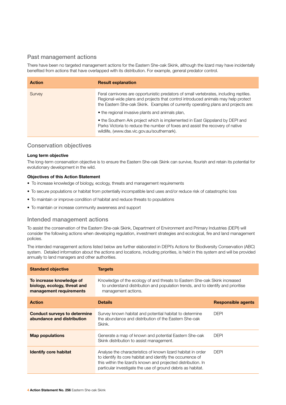# Past management actions

There have been no targeted management actions for the Eastern She-oak Skink, although the lizard may have incidentally benefited from actions that have overlapped with its distribution. For example, general predator control.

| <b>Action</b> | <b>Result explanation</b>                                                                                                                                                                                                                                         |
|---------------|-------------------------------------------------------------------------------------------------------------------------------------------------------------------------------------------------------------------------------------------------------------------|
| Survey        | Feral carnivores are opportunistic predators of small vertebrates, including reptiles.<br>Regional-wide plans and projects that control introduced animals may help protect<br>the Eastern She-oak Skink. Examples of currently operating plans and projects are: |
|               | • the regional invasive plants and animals plan,                                                                                                                                                                                                                  |
|               | • the Southern Ark project which is implemented in East Gippsland by DEPI and<br>Parks Victoria to reduce the number of foxes and assist the recovery of native<br>wildlife, (www.dse.vic.gov.au/southernark).                                                    |

# Conservation objectives

#### Long term objective

The long-term conservation objective is to ensure the Eastern She-oak Skink can survive, flourish and retain its potential for evolutionary development in the wild.

#### Objectives of this Action Statement

- To increase knowledge of biology, ecology, threats and management requirements
- To secure populations or habitat from potentially incompatible land uses and/or reduce risk of catastrophic loss
- To maintain or improve condition of habitat and reduce threats to populations
- To maintain or increase community awareness and support

#### Intended management actions

To assist the conservation of the Eastern She-oak Skink, Department of Environment and Primary Industries (DEPI) will consider the following actions when developing regulation, investment strategies and ecological, fire and land management policies.

The intended management actions listed below are further elaborated in DEPI's Actions for Biodiversity Conservation (ABC) system. Detailed information about the actions and locations, including priorities, is held in this system and will be provided annually to land managers and other authorities.

| <b>Standard objective</b>                                                           | <b>Targets</b>                                                                                                                                                                                                                                              |                           |
|-------------------------------------------------------------------------------------|-------------------------------------------------------------------------------------------------------------------------------------------------------------------------------------------------------------------------------------------------------------|---------------------------|
| To increase knowledge of<br>biology, ecology, threat and<br>management requirements | Knowledge of the ecology of and threats to Eastern She-oak Skink increased<br>to understand distribution and population trends, and to identify and prioritise<br>management actions.                                                                       |                           |
| <b>Action</b>                                                                       | <b>Details</b>                                                                                                                                                                                                                                              | <b>Responsible agents</b> |
| <b>Conduct surveys to determine</b><br>abundance and distribution                   | Survey known habitat and potential habitat to determine<br>the abundance and distribution of the Eastern She-oak<br>Skink.                                                                                                                                  | <b>DEPI</b>               |
| <b>Map populations</b>                                                              | Generate a map of known and potential Eastern She-oak<br>Skink distribution to assist management.                                                                                                                                                           | <b>DEPI</b>               |
| <b>Identify core habitat</b>                                                        | Analyse the characteristics of known lizard habitat in order<br>to identify its core habitat and identify the occurrence of<br>this within the lizard's known and projected distribution. In<br>particular investigate the use of ground debris as habitat. | <b>DEPI</b>               |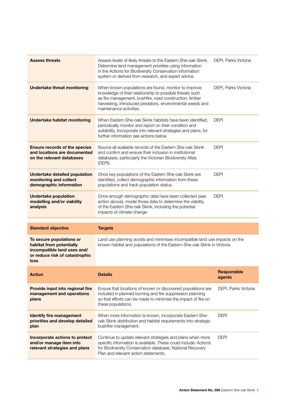| <b>Assess threats</b>                                                                                                         | Assess levels of likely threats to the Eastern She-oak Skink.<br>Determine land management priorities using information<br>in the Actions for Biodiversity Conservation information<br>system or derived from research, and expert advice.                          | DEPI, Parks Victoria         |
|-------------------------------------------------------------------------------------------------------------------------------|---------------------------------------------------------------------------------------------------------------------------------------------------------------------------------------------------------------------------------------------------------------------|------------------------------|
| <b>Undertake threat monitoring</b>                                                                                            | When known populations are found, monitor to improve<br>knowledge of their relationship to possible threats such<br>as fire management, bushfire, road construction, timber<br>harvesting, introduced predators, environmental weeds and<br>maintenance activities. | DEPI, Parks Victoria         |
| <b>Undertake habitat monitoring</b>                                                                                           | When Eastern She-oak Skink habitats have been identified.<br>periodically monitor and report on their condition and<br>suitability. Incorporate into relevant strategies and plans, for<br>further information see actions below.                                   | <b>DEPI</b>                  |
| <b>Ensure records of the species</b><br>and locations are documented<br>on the relevant databases                             | Source all available records of the Eastern She-oak Skink<br>and confirm and ensure their inclusion in institutional<br>databases, particularly the Victorian Biodiversity Atlas<br>(DEPI).                                                                         | <b>DEPI</b>                  |
| <b>Undertake detailed population</b><br>monitoring and collect<br>demographic information                                     | Once key populations of the Eastern She-oak Skink are<br>identified, collect demographic information from these<br>populations and track population status.                                                                                                         | <b>DEPI</b>                  |
| <b>Undertake population</b><br>modelling and/or viability<br>analysis                                                         | Once enough demographic data have been collected (see<br>action above), model those data to determine the viability<br>of the Eastern She-oak Skink, including the potential<br>impacts of climate change.                                                          | <b>DEPI</b>                  |
| <b>Standard objective</b>                                                                                                     | <b>Targets</b>                                                                                                                                                                                                                                                      |                              |
| To secure populations or<br>habitat from potentially<br>incompatible land uses and/<br>or reduce risk of catastrophic<br>loss | Land use planning avoids and minimises incompatible land use impacts on the<br>known habitat and populations of the Eastern She-oak Skink in Victoria.                                                                                                              |                              |
| <b>Action</b>                                                                                                                 | <b>Details</b>                                                                                                                                                                                                                                                      | <b>Responsible</b><br>agents |
| Provide input into regional fire<br>management and operations<br>plans                                                        | Ensure that locations of known or discovered populations are<br>included in planned burning and fire suppression planning<br>so that efforts can be made to minimise the impact of fire on<br>these populations.                                                    | DEPI, Parks Victoria         |
| <b>Identify fire management</b><br>priorities and develop detailed<br>plan                                                    | When more information is known, incorporate Eastern She-<br>oak Skink distribution and habitat requirements into strategic<br>bushfire management.                                                                                                                  | <b>DEPI</b>                  |
| Incorporate actions to protect<br>and/or manage item into<br>relevant strategies and plans                                    | Continue to update relevant strategies and plans when more<br>specific information is available. These could include: Actions<br>for Biodiversity Conservation database, National Recovery<br>Plan and relevant action statements.                                  | <b>DEPI</b>                  |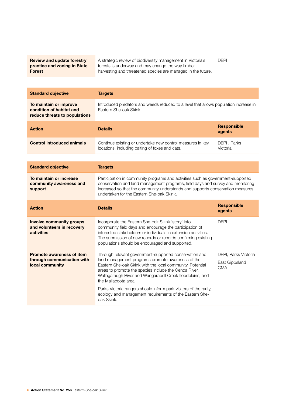| <b>Review and update forestry</b> | A strategic review of biodiversity management in Victoria's  |
|-----------------------------------|--------------------------------------------------------------|
| practice and zoning in State      | forests is underway and may change the way timber            |
| Forest                            | harvesting and threatened species are managed in the future. |

DEPI

| <b>Standard objective</b>                                                           | <b>Targets</b>                                                                                                                                                                                                                                                                                                                                                                                                                                                       |                                                      |
|-------------------------------------------------------------------------------------|----------------------------------------------------------------------------------------------------------------------------------------------------------------------------------------------------------------------------------------------------------------------------------------------------------------------------------------------------------------------------------------------------------------------------------------------------------------------|------------------------------------------------------|
| To maintain or improve<br>condition of habitat and<br>reduce threats to populations | Introduced predators and weeds reduced to a level that allows population increase in<br>Eastern She-oak Skink.                                                                                                                                                                                                                                                                                                                                                       |                                                      |
| <b>Action</b>                                                                       | <b>Details</b>                                                                                                                                                                                                                                                                                                                                                                                                                                                       | <b>Responsible</b><br>agents                         |
| <b>Control introduced animals</b>                                                   | Continue existing or undertake new control measures in key<br>locations, including baiting of foxes and cats.                                                                                                                                                                                                                                                                                                                                                        | DEPI, Parks<br>Victoria                              |
|                                                                                     |                                                                                                                                                                                                                                                                                                                                                                                                                                                                      |                                                      |
| <b>Standard objective</b>                                                           | <b>Targets</b>                                                                                                                                                                                                                                                                                                                                                                                                                                                       |                                                      |
| To maintain or increase<br>community awareness and<br>support                       | Participation in community programs and activities such as government-supported<br>conservation and land management programs, field days and survey and monitoring<br>increased so that the community understands and supports conservation measures<br>undertaken for the Eastern She-oak Skink.                                                                                                                                                                    |                                                      |
| <b>Action</b>                                                                       | <b>Details</b>                                                                                                                                                                                                                                                                                                                                                                                                                                                       | <b>Responsible</b><br>agents                         |
| <b>Involve community groups</b><br>and volunteers in recovery<br><b>activities</b>  | Incorporate the Eastern She-oak Skink 'story' into<br>community field days and encourage the participation of<br>interested stakeholders or individuals in extension activities.<br>The submission of new records or records confirming existing<br>populations should be encouraged and supported.                                                                                                                                                                  | <b>DEPI</b>                                          |
| <b>Promote awareness of item</b><br>through communication with<br>local community   | Through relevant government-supported conservation and<br>land management programs promote awareness of the<br>Eastern She-oak Skink with the local community. Potential<br>areas to promote the species include the Genoa River,<br>Wallagaraugh River and Wangarabell Creek floodplains, and<br>the Mallacoota area.<br>Parks Victoria rangers should inform park visitors of the rarity,<br>ecology and management requirements of the Eastern She-<br>oak Skink. | DEPI, Parks Victoria<br>East Gippsland<br><b>CMA</b> |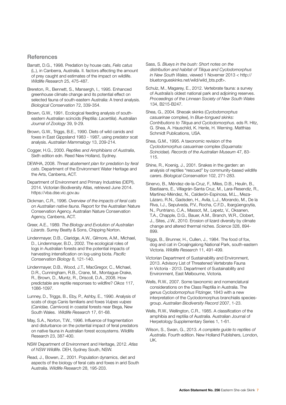#### **References**

- Barratt, D.G., 1998. Predation by house cats, *Felis catus*  (L.), in Canberra, Australia. II. factors affecting the amount of prey caught and estimates of the impact on wildlife. *Wildlife Research* 25, 475-487.
- Brereton, R., Bennett, S., Mansergh, I., 1995. Enhanced greenhouse climate change and its potential effect on selected fauna of south-eastern Australia: A trend analysis. *Biological Conservation* 72, 339-354.
- Brown, G.W., 1991. Ecological feeding analysis of southeastern Australian scincids (Reptilia: *Lacertilia*). Australian *Journal of Zoology* 39, 9-29.

Brown, G.W., Triggs, B.E., 1990. Diets of wild canids and foxes in East Gippsland 1983 - 1987, using predator scat analysis. *Australian Mammalogy* 13, 209-214.

- Cogger, H.G., 2000. *Reptiles and Amphibians of Australia*, Sixth edition edn. Reed New Holland, Sydney.
- DEWHA, 2008. *Threat abatement plan for predation by feral cats*. Department of the Environment Water Heritage and the Arts, Canberra, ACT.
- Department of Environment and Primary Industries (DEPI), 2014. Victorian Biodiversity Atlas, retrieved June 2014. https://vba.dse.vic.gov.au
- Dickman, C.R., 1996. *Overview of the impacts of feral cats on Australian native fauna*. Report for the Australian Nature Conservation Agency. Australian Nature Conservation Agency, Canberra, ACT.
- Greer, A.E., 1989. *The Biology and Evolution of Australian Lizards*. Surrey Beatty & Sons, Chipping Norton.
- Lindenmayer, D.B., Claridge, A.W., Gilmore, A.M., Michael, D., Lindenmayer, B.D., 2002. The ecological roles of logs in Australian forests and the potential impacts of harvesting intensification on log-using biota. *Pacific Conservation Biology* 8, 121-140.
- Lindenmayer, D.B., Wood, J.T., MacGregor, C., Michael, D.R., Cunningham, R.B., Crane, M., Montague-Drake, R., Brown, D., Muntz, R., Driscoll, D.A., 2008. How predictable are reptile responses to wildfire? *Oikos* 117, 1086-1097.
- Lunney, D., Triggs, B., Eby, P., Ashby, E., 1990. Analysis of scats of dogs Canis familiaris and foxes *Vulpes vulpes* (*Canidae, Carnivora*) in coastal forests near Bega, New South Wales. *Wildlife Research* 17, 61-68.
- May, S.A., Norton, T.W., 1996. Influence of fragmentation and disturbance on the potential impact of feral predators on native fauna in Australian forest ecosystems. Wildlife Research 23, 387-400.
- NSW Department of Environment and Heritage, 2012. *Atlas of NSW Wildlife*. DEH, Sydney South, NSW.
- Read, J., Bowen, Z., 2001. Population dynamics, diet and aspects of the biology of feral cats and foxes in arid South Australia. *Wildlife Research* 28, 195-203.
- Sass, S. *Blueys in the bush: Short notes on the distribution and habitat of Tiliqua and Cyclodomorphus in New South Wales*, viewed 1 Novemer 2013 < http:// bluetongueskinks.net/wild/wild\_bts.pdf>.
- Schulz, M., Magarey, E., 2012. Vertebrate fauna: a survey of Australia's oldest national park and adjoining reserves. *Proceedings of the Linnean Society of New South Wales*  134, B215-B247.
- Shea, G., 2004. Sheoak skinks (*Cyclodomorphus casuarinae* complex), In *Blue-tongued skinks: Contributions to Tiliqua and Cyclodomorphus*. eds R. Hitz, G. Shea, A. Hauschild, K. Henle, H. Werning. Matthias Schmidt Publications, USA.
- Shea, G.M., 1995. A taxonomic revision of the *Cyclodomorphus casuarinae* complex (*Squamata: Scincidae*). *Records of the Australian Museum* 47, 83- 115.
- Shine, R., Koenig, J., 2001. Snakes in the garden: an analysis of reptiles "rescued" by community-based wildlife carers. *Biological Conservation* 102, 271-283.
- Sinervo, B., Méndez-de-la-Cruz, F., Miles, D.B., Heulin, B., Bastiaans, E., Villagrán-Santa Cruz, M., Lara-Resendiz, R., Martínez-Méndez, N., Calderón-Espinosa, M.L., Meza-Lázaro, R.N., Gadsden, H., Avila, L.J., Morando, M., De la Riva, I.J., Sepulveda, P.V., Rocha, C.F.D., Ibargüengoytía, N., Puntriano, C.A., Massot, M., Lepetz, V., Oksanen, T.A., Chapple, D.G., Bauer, A.M., Branch, W.R., Clobert, J., Sites, J.W., 2010. Erosion of lizard diversity by climate change and altered thermal niches. *Science* 328, 894- 899.
- Triggs, B., Brunner, H., Cullen, J., 1984. The food of fox, dog and cat in Croajingalong National Park, south-eastern Victoria. *Wildlife Research* 11, 491-499.
- Victorian Department of Sustainability and Environment, 2013. Advisory List of Threatened Vertebrate Fauna in Victoria - 2013. Department of Sustainability and Environment, East Melbourne, Victoria.
- Wells, R.W., 2007. Some taxonomic and nomenclatural considerations on the Class Reptilia in Australia. The genus *Cyclodomorphus* Fitzinger, 1843 with a new interpretation of the Cyclodomorphus branchialis speciesgroup. *Australian Biodiversity Record* 2007, 1-23.
- Wells, R.W., Wellington, C.R., 1985. A classification of the amphibia and reptilia of Australia. Australian Journal of Herpetology Supplementary Series 1, 1-61.
- Wilson, S., Swan, G., 2013. *A complete guide to reptiles of Australia*. Fourth edition. New Holland Publishers, London, UK.